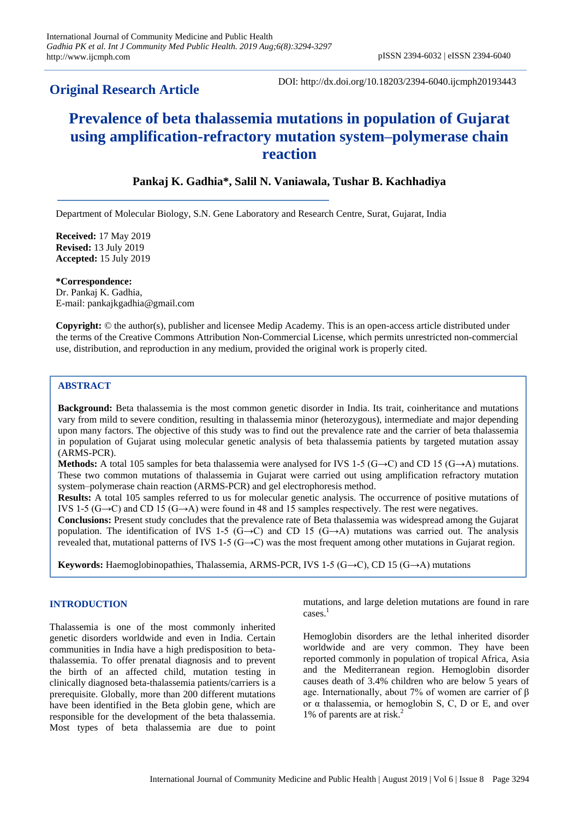# **Original Research Article**

DOI: http://dx.doi.org/10.18203/2394-6040.ijcmph20193443

# **Prevalence of beta thalassemia mutations in population of Gujarat using amplification-refractory mutation system–polymerase chain reaction**

## **Pankaj K. Gadhia\*, Salil N. Vaniawala, Tushar B. Kachhadiya**

Department of Molecular Biology, S.N. Gene Laboratory and Research Centre, Surat, Gujarat, India

**Received:** 17 May 2019 **Revised:** 13 July 2019 **Accepted:** 15 July 2019

**\*Correspondence:** Dr. Pankaj K. Gadhia, E-mail: pankajkgadhia@gmail.com

**Copyright:** © the author(s), publisher and licensee Medip Academy. This is an open-access article distributed under the terms of the Creative Commons Attribution Non-Commercial License, which permits unrestricted non-commercial use, distribution, and reproduction in any medium, provided the original work is properly cited.

#### **ABSTRACT**

**Background:** Beta thalassemia is the most common genetic disorder in India. Its trait, coinheritance and mutations vary from mild to severe condition, resulting in thalassemia minor (heterozygous), intermediate and major depending upon many factors. The objective of this study was to find out the prevalence rate and the carrier of beta thalassemia in population of Gujarat using molecular genetic analysis of beta thalassemia patients by targeted mutation assay (ARMS-PCR).

**Methods:** A total 105 samples for beta thalassemia were analysed for IVS 1-5 (G→C) and CD 15 (G→A) mutations. These two common mutations of thalassemia in Gujarat were carried out using amplification refractory mutation system–polymerase chain reaction (ARMS-PCR) and gel electrophoresis method.

**Results:** A total 105 samples referred to us for molecular genetic analysis. The occurrence of positive mutations of IVS 1-5 (G→C) and CD 15 (G→A) were found in 48 and 15 samples respectively. The rest were negatives.

**Conclusions:** Present study concludes that the prevalence rate of Beta thalassemia was widespread among the Gujarat population. The identification of IVS 1-5 (G→C) and CD 15 (G→A) mutations was carried out. The analysis revealed that, mutational patterns of IVS 1-5 (G→C) was the most frequent among other mutations in Gujarat region.

**Keywords:** Haemoglobinopathies, Thalassemia, ARMS-PCR, IVS 1-5 (G→C), CD 15 (G→A) mutations

#### **INTRODUCTION**

Thalassemia is one of the most commonly inherited genetic disorders worldwide and even in India. Certain communities in India have a high predisposition to betathalassemia. To offer prenatal diagnosis and to prevent the birth of an affected child, mutation testing in clinically diagnosed beta-thalassemia patients/carriers is a prerequisite. Globally, more than 200 different mutations have been identified in the Beta globin gene, which are responsible for the development of the beta thalassemia. Most types of beta thalassemia are due to point mutations, and large deletion mutations are found in rare cases.<sup>1</sup>

Hemoglobin disorders are the lethal inherited disorder worldwide and are very common. They have been reported commonly in population of tropical Africa, Asia and the Mediterranean region. Hemoglobin disorder causes death of 3.4% children who are below 5 years of age. Internationally, about 7% of women are carrier of β or α thalassemia, or hemoglobin S, C, D or E, and over 1% of parents are at risk.<sup>2</sup>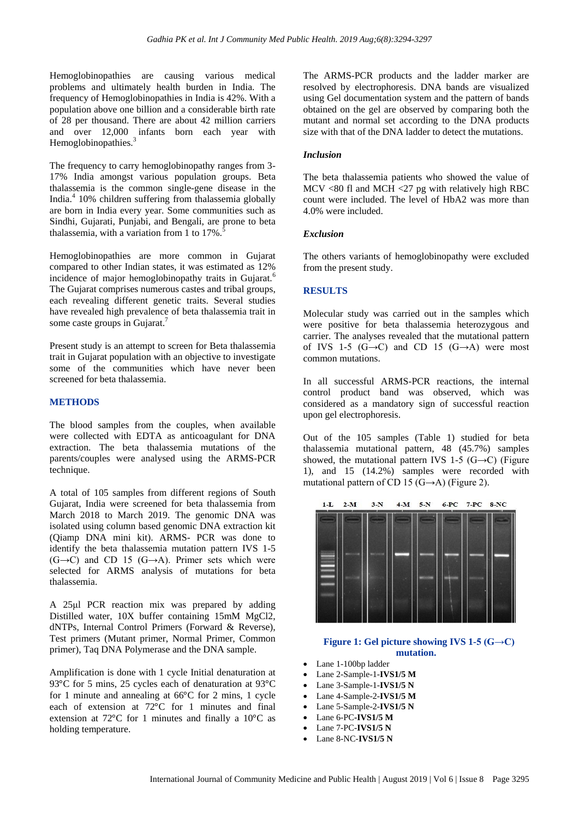Hemoglobinopathies are causing various medical problems and ultimately health burden in India. The frequency of Hemoglobinopathies in India is 42%. With a population above one billion and a considerable birth rate of 28 per thousand. There are about 42 million carriers and over 12,000 infants born each year with Hemoglobinopathies.<sup>3</sup>

The frequency to carry hemoglobinopathy ranges from 3- 17% India amongst various population groups. Beta thalassemia is the common single-gene disease in the India. 4 10% children suffering from thalassemia globally are born in India every year. Some communities such as Sindhi, Gujarati, Punjabi, and Bengali, are prone to beta thalassemia, with a variation from 1 to  $17\%$ .

Hemoglobinopathies are more common in Gujarat compared to other Indian states, it was estimated as 12% incidence of major hemoglobinopathy traits in Gujarat.<sup>6</sup> The Gujarat comprises numerous castes and tribal groups, each revealing different genetic traits. Several studies have revealed high prevalence of beta thalassemia trait in some caste groups in Gujarat.<sup>7</sup>

Present study is an attempt to screen for Beta thalassemia trait in Gujarat population with an objective to investigate some of the communities which have never been screened for beta thalassemia.

#### **METHODS**

The blood samples from the couples, when available were collected with EDTA as anticoagulant for DNA extraction. The beta thalassemia mutations of the parents/couples were analysed using the ARMS-PCR technique.

A total of 105 samples from different regions of South Gujarat, India were screened for beta thalassemia from March 2018 to March 2019. The genomic DNA was isolated using column based genomic DNA extraction kit (Qiamp DNA mini kit). ARMS- PCR was done to identify the beta thalassemia mutation pattern IVS 1-5  $(G\rightarrow C)$  and CD 15  $(G\rightarrow A)$ . Primer sets which were selected for ARMS analysis of mutations for beta thalassemia.

A 25μl PCR reaction mix was prepared by adding Distilled water, 10X buffer containing 15mM MgCl2, dNTPs, Internal Control Primers (Forward & Reverse), Test primers (Mutant primer, Normal Primer, Common primer), Taq DNA Polymerase and the DNA sample.

Amplification is done with 1 cycle Initial denaturation at 93 $\degree$ C for 5 mins, 25 cycles each of denaturation at 93 $\degree$ C for 1 minute and annealing at  $66^{\circ}$ C for 2 mins, 1 cycle each of extension at 72°C for 1 minutes and final extension at 72 $^{\circ}$ C for 1 minutes and finally a 10 $^{\circ}$ C as holding temperature.

The ARMS-PCR products and the ladder marker are resolved by electrophoresis. DNA bands are visualized using Gel documentation system and the pattern of bands obtained on the gel are observed by comparing both the mutant and normal set according to the DNA products size with that of the DNA ladder to detect the mutations.

#### *Inclusion*

The beta thalassemia patients who showed the value of MCV <80 fl and MCH <27 pg with relatively high RBC count were included. The level of HbA2 was more than 4.0% were included.

#### *Exclusion*

The others variants of hemoglobinopathy were excluded from the present study.

#### **RESULTS**

Molecular study was carried out in the samples which were positive for beta thalassemia heterozygous and carrier. The analyses revealed that the mutational pattern of IVS 1-5  $(G\rightarrow C)$  and CD 15  $(G\rightarrow A)$  were most common mutations.

In all successful ARMS-PCR reactions, the internal control product band was observed, which was considered as a mandatory sign of successful reaction upon gel electrophoresis.

Out of the 105 samples (Table 1) studied for beta thalassemia mutational pattern, 48 (45.7%) samples showed, the mutational pattern IVS 1-5 (G→C) (Figure 1), and 15 (14.2%) samples were recorded with mutational pattern of CD 15 (G $\rightarrow$ A) (Figure 2).



#### **Figure 1: Gel picture showing IVS 1-5 (G→C) mutation.**

- Lane 1-100bp ladder
- Lane 2-Sample-1-**IVS1/5 M**
- Lane 3-Sample-1-**IVS1/5 N**
- Lane 4-Sample-2-**IVS1/5 M**
- Lane 5-Sample-2-**IVS1/5 N**
- Lane 6-PC**-IVS1/5 M**
- Lane 7-PC-**IVS1/5 N**
- Lane 8-NC-**IVS1/5 N**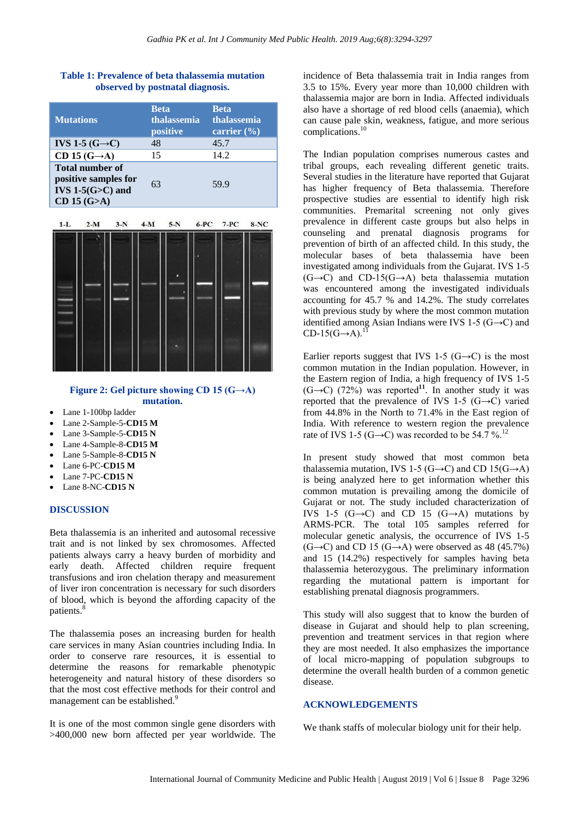#### **Table 1: Prevalence of beta thalassemia mutation observed by postnatal diagnosis.**

| <b>Mutations</b>                                                                        | <b>Beta</b><br>thalassemia<br>positive | <b>Beta</b><br>thalassemia<br>carrier $(\% )$ |
|-----------------------------------------------------------------------------------------|----------------------------------------|-----------------------------------------------|
| IVS 1-5 $(G\rightarrow C)$                                                              | 48                                     | 45.7                                          |
| CD 15 $(G \rightarrow A)$                                                               | 15                                     | 14.2                                          |
| <b>Total number of</b><br>positive samples for<br>IVS $1-5(G>C)$ and<br>$CD$ 15 $(G>A)$ | 63                                     | 59.9                                          |



### **Figure 2: Gel picture showing CD 15 (G→A) mutation.**

- Lane 1-100bp ladder
- Lane 2-Sample-5-**CD15 M**
- Lane 3-Sample-5-**CD15 N**
- Lane 4-Sample-8-**CD15 M**
- Lane 5-Sample-8-**CD15 N**
- Lane 6-PC-**CD15 M**
- Lane 7-PC-**CD15 N**
- Lane 8-NC-**CD15 N**

#### **DISCUSSION**

Beta thalassemia is an inherited and autosomal recessive trait and is not linked by sex chromosomes. Affected patients always carry a heavy burden of morbidity and early death. Affected children require frequent transfusions and iron chelation therapy and measurement of liver iron concentration is necessary for such disorders of blood, which is beyond the affording capacity of the patients.<sup>8</sup>

The thalassemia poses an increasing burden for health care services in many Asian countries including India. In order to conserve rare resources, it is essential to determine the reasons for remarkable phenotypic heterogeneity and natural history of these disorders so that the most cost effective methods for their control and management can be established.<sup>9</sup>

It is one of the most common single gene disorders with >400,000 new born affected per year worldwide. The incidence of Beta thalassemia trait in India ranges from 3.5 to 15%. Every year more than 10,000 children with thalassemia major are born in India. Affected individuals also have a shortage of red blood cells (anaemia), which can cause pale skin, weakness, fatigue, and more serious complications.<sup>1</sup>

The Indian population comprises numerous castes and tribal groups, each revealing different genetic traits. Several studies in the literature have reported that Gujarat has higher frequency of Beta thalassemia. Therefore prospective studies are essential to identify high risk communities. Premarital screening not only gives prevalence in different caste groups but also helps in counseling and prenatal diagnosis programs for prevention of birth of an affected child. In this study, the molecular bases of beta thalassemia have been investigated among individuals from the Gujarat. IVS 1-5  $(G\rightarrow C)$  and CD-15(G $\rightarrow A$ ) beta thalassemia mutation was encountered among the investigated individuals accounting for 45.7 % and 14.2%. The study correlates with previous study by where the most common mutation identified among Asian Indians were IVS 1-5 ( $G \rightarrow C$ ) and  $CD-15(G\rightarrow A).$ <sup>11</sup>

Earlier reports suggest that IVS 1-5 (G $\rightarrow$ C) is the most common mutation in the Indian population. However, in the Eastern region of India, a high frequency of IVS 1-5  $(G \rightarrow C)$  (72%) was reported<sup>11</sup>. In another study it was reported that the prevalence of IVS 1-5 (G $\rightarrow$ C) varied from 44.8% in the North to 71.4% in the East region of India. With reference to western region the prevalence rate of IVS 1-5 (G→C) was recorded to be 54.7 %.<sup>12</sup>

In present study showed that most common beta thalassemia mutation, IVS 1-5 (G→C) and CD 15(G→A) is being analyzed here to get information whether this common mutation is prevailing among the domicile of Gujarat or not. The study included characterization of IVS 1-5  $(G\rightarrow C)$  and CD 15  $(G\rightarrow A)$  mutations by ARMS-PCR. The total 105 samples referred for molecular genetic analysis, the occurrence of IVS 1-5  $(G\rightarrow C)$  and CD 15  $(G\rightarrow A)$  were observed as 48 (45.7%) and 15 (14.2%) respectively for samples having beta thalassemia heterozygous. The preliminary information regarding the mutational pattern is important for establishing prenatal diagnosis programmers.

This study will also suggest that to know the burden of disease in Gujarat and should help to plan screening, prevention and treatment services in that region where they are most needed. It also emphasizes the importance of local micro-mapping of population subgroups to determine the overall health burden of a common genetic disease.

#### **ACKNOWLEDGEMENTS**

We thank staffs of molecular biology unit for their help.